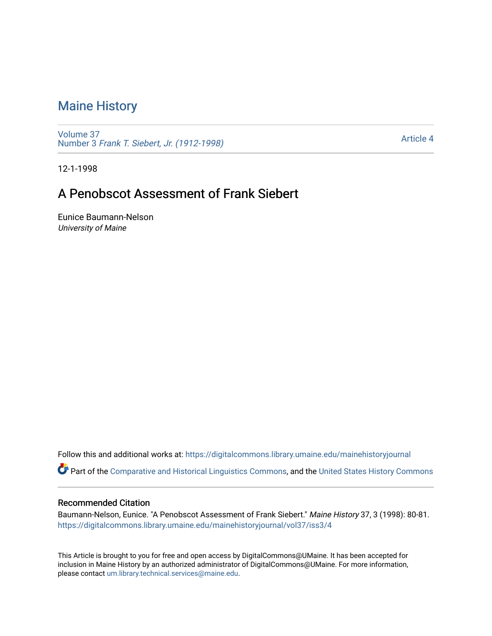## [Maine History](https://digitalcommons.library.umaine.edu/mainehistoryjournal)

[Volume 37](https://digitalcommons.library.umaine.edu/mainehistoryjournal/vol37) Number 3 [Frank T. Siebert, Jr. \(1912-1998\)](https://digitalcommons.library.umaine.edu/mainehistoryjournal/vol37/iss3) 

[Article 4](https://digitalcommons.library.umaine.edu/mainehistoryjournal/vol37/iss3/4) 

12-1-1998

## A Penobscot Assessment of Frank Siebert

Eunice Baumann-Nelson University of Maine

Follow this and additional works at: [https://digitalcommons.library.umaine.edu/mainehistoryjournal](https://digitalcommons.library.umaine.edu/mainehistoryjournal?utm_source=digitalcommons.library.umaine.edu%2Fmainehistoryjournal%2Fvol37%2Fiss3%2F4&utm_medium=PDF&utm_campaign=PDFCoverPages) 

Part of the [Comparative and Historical Linguistics Commons,](http://network.bepress.com/hgg/discipline/374?utm_source=digitalcommons.library.umaine.edu%2Fmainehistoryjournal%2Fvol37%2Fiss3%2F4&utm_medium=PDF&utm_campaign=PDFCoverPages) and the [United States History Commons](http://network.bepress.com/hgg/discipline/495?utm_source=digitalcommons.library.umaine.edu%2Fmainehistoryjournal%2Fvol37%2Fiss3%2F4&utm_medium=PDF&utm_campaign=PDFCoverPages)

## Recommended Citation

Baumann-Nelson, Eunice. "A Penobscot Assessment of Frank Siebert." Maine History 37, 3 (1998): 80-81. [https://digitalcommons.library.umaine.edu/mainehistoryjournal/vol37/iss3/4](https://digitalcommons.library.umaine.edu/mainehistoryjournal/vol37/iss3/4?utm_source=digitalcommons.library.umaine.edu%2Fmainehistoryjournal%2Fvol37%2Fiss3%2F4&utm_medium=PDF&utm_campaign=PDFCoverPages)

This Article is brought to you for free and open access by DigitalCommons@UMaine. It has been accepted for inclusion in Maine History by an authorized administrator of DigitalCommons@UMaine. For more information, please contact [um.library.technical.services@maine.edu.](mailto:um.library.technical.services@maine.edu)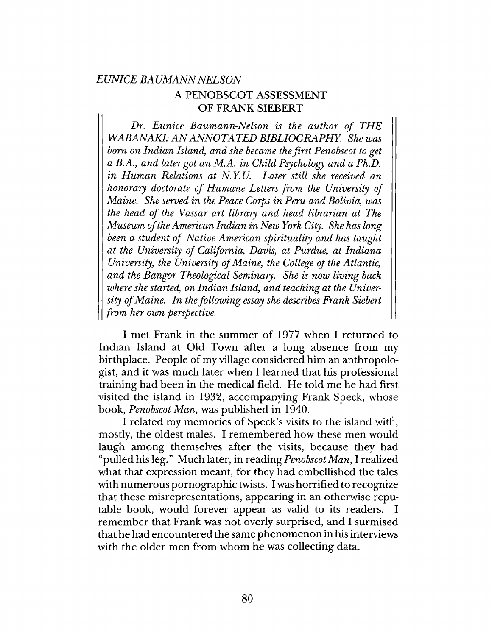## *EUNICE BA UMANN-NELSON* A PENOBSCOT ASSESSMENT OF FRANK SIEBERT

*Dr. Eunice Baumann-Nelson is the author of THE WABANAKI: AN ANNOTATED BIBLIOGRAPHY. She was bom on Indian Island*, *and she became the first Penobscot to get a B.A., and later got an M.A. in Child Psychology and a Ph.D. in Human Relations at N. Y. U. Later still she received an honorary doctorate of Humane Letters from the University of Maine. She served in the Peace Corps in Peru and Bolivia*, *was the head of the Vassar art library and head librarian at The Museum of the American Indian in New York City. She has long been a student of Native American spirituality and has taught at the University of California*, *Davis*, *at Purdue*, *at Indiana University*, *the University of Maine*, *the College of the Atlantic, and the Bangor Theological Seminary. She is now living back where she started, on Indian Island, and teaching at the University of Maine. In the following essay she describes Frank Siebert from her own perspective.*

I met Frank in the summer of 1977 when I returned to Indian Island at Old Town after a long absence from my birthplace. People of my village considered him an anthropologist, and it was much later when I learned that his professional training had been in the medical field. He told me he had first visited the island in 1932, accompanying Frank Speck, whose book, *Penobscot Man,* was published in 1940.

I related my memories of Speck's visits to the island with, mostly, the oldest males. I remembered how these men would laugh among themselves after the visits, because they had "pulled his leg." Much later, in reading *Penobscot Man,* I realized what that expression meant, for they had embellished the tales with numerous pornographic twists. I was horrified to recognize that these misrepresentations, appearing in an otherwise reputable book, would forever appear as valid to its readers. I remember that Frank was not overly surprised, and I surmised that he had encountered the same phenomenon in his interviews with the older men from whom he was collecting data.